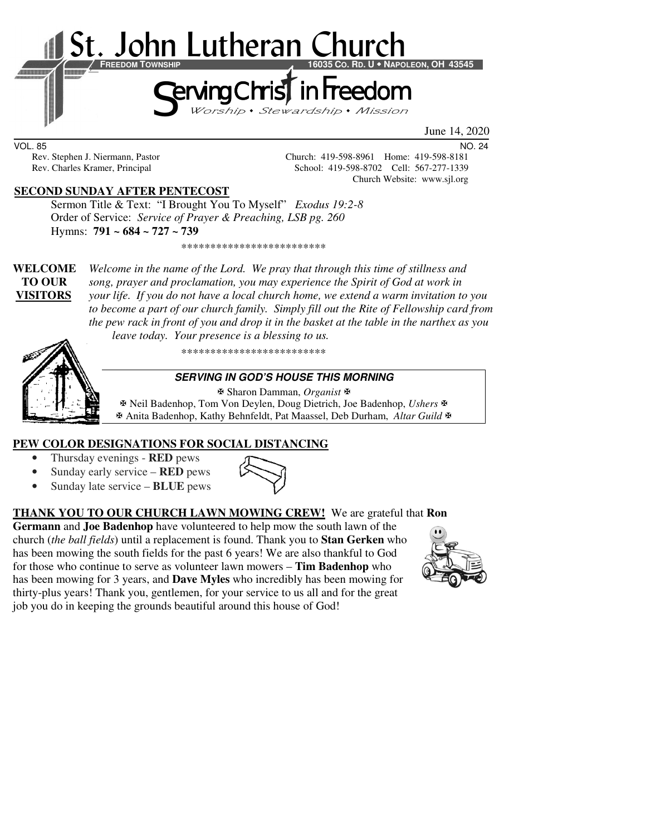

June 14, 2020

VOL. 85 NO. 24

Rev. Stephen J. Niermann, Pastor Church: 419-598-8961 Home: 419-598-8181 Rev. Charles Kramer, Principal School: 419-598-8702 Cell: 567-277-1339 Church Website: www.sjl.org

#### **SECOND SUNDAY AFTER PENTECOST**

 Sermon Title & Text: "I Brought You To Myself" *Exodus 19:2-8* Order of Service: *Service of Prayer & Preaching, LSB pg. 260* Hymns: **791 ~ 684 ~ 727 ~ 739**

**WELCOME** *Welcome in the name of the Lord. We pray that through this time of stillness and* **TO OUR** *song, prayer and proclamation, you may experience the Spirit of God at work in*  **VISITORS** *your life. If you do not have a local church home, we extend a warm invitation to you to become a part of our church family. Simply fill out the Rite of Fellowship card from the pew rack in front of you and drop it in the basket at the table in the narthex as you leave today. Your presence is a blessing to us.* 

\*\*\*\*\*\*\*\*\*\*\*\*\*\*\*\*\*\*\*\*\*\*\*\*\*

\*\*\*\*\*\*\*\*\*\*\*\*\*\*\*\*\*\*\*\*\*\*\*\*\*

#### **SERVING IN GOD'S HOUSE THIS MORNING**

 Sharon Damman, *Organist* Neil Badenhop, Tom Von Deylen, Doug Dietrich, Joe Badenhop, *Ushers* Anita Badenhop, Kathy Behnfeldt, Pat Maassel, Deb Durham, *Altar Guild*

# **PEW COLOR DESIGNATIONS FOR SOCIAL DISTANCING**

- Thursday evenings **RED** pews
- Sunday early service **RED** pews
- Sunday late service **BLUE** pews



**THANK YOU TO OUR CHURCH LAWN MOWING CREW!** We are grateful that **Ron Germann** and **Joe Badenhop** have volunteered to help mow the south lawn of the

church (*the ball fields*) until a replacement is found. Thank you to **Stan Gerken** who has been mowing the south fields for the past 6 years! We are also thankful to God for those who continue to serve as volunteer lawn mowers – **Tim Badenhop** who has been mowing for 3 years, and **Dave Myles** who incredibly has been mowing for thirty-plus years! Thank you, gentlemen, for your service to us all and for the great job you do in keeping the grounds beautiful around this house of God!

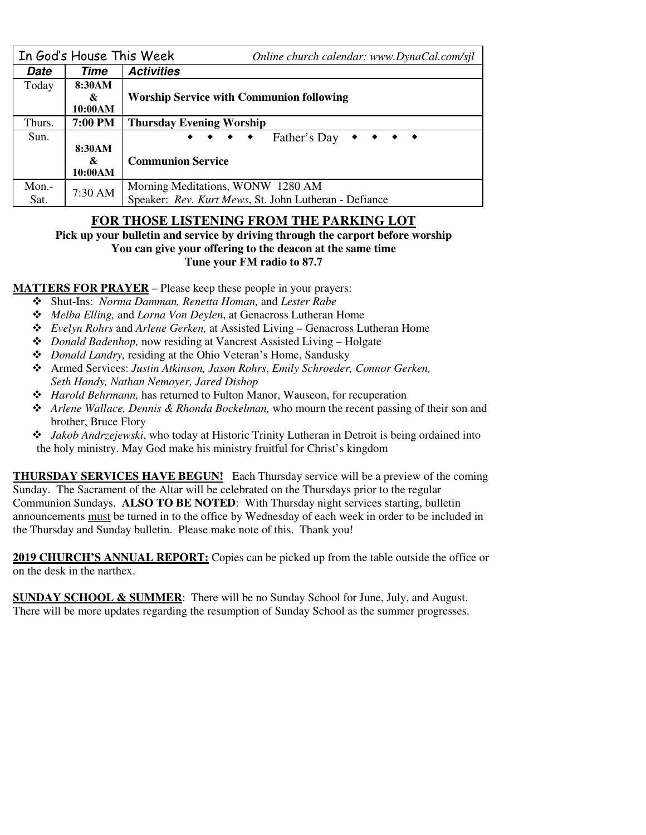|        | In God's House This Week | Online church calendar: www.DynaCal.com/sjl                                                                                            |  |  |
|--------|--------------------------|----------------------------------------------------------------------------------------------------------------------------------------|--|--|
| Date   | Time                     | <b>Activities</b>                                                                                                                      |  |  |
| Today  | 8:30AM                   |                                                                                                                                        |  |  |
|        | &                        | <b>Worship Service with Communion following</b>                                                                                        |  |  |
|        | 10:00AM                  |                                                                                                                                        |  |  |
| Thurs. | 7:00 PM                  | <b>Thursday Evening Worship</b>                                                                                                        |  |  |
| Sun.   |                          | Father's Day<br>$\bullet\quad\bullet\quad\bullet\quad\bullet\quad\bullet\quad\bullet$<br>$\bullet\quad\bullet\quad\bullet\quad\bullet$ |  |  |
|        | 8:30AM                   |                                                                                                                                        |  |  |
|        | &                        | <b>Communion Service</b>                                                                                                               |  |  |
|        | 10:00AM                  |                                                                                                                                        |  |  |
| Mon.-  | 7:30 AM                  | Morning Meditations, WONW 1280 AM                                                                                                      |  |  |
| Sat.   |                          | Speaker: Rev. Kurt Mews, St. John Lutheran - Defiance                                                                                  |  |  |

# **FOR THOSE LISTENING FROM THE PARKING LOT**

**Pick up your bulletin and service by driving through the carport before worship You can give your offering to the deacon at the same time Tune your FM radio to 87.7** 

**MATTERS FOR PRAYER** – Please keep these people in your prayers:

- Shut-Ins: *Norma Damman, Renetta Homan,* and *Lester Rabe*
- *Melba Elling,* and *Lorna Von Deylen*, at Genacross Lutheran Home
- *Evelyn Rohrs* and *Arlene Gerken,* at Assisted Living Genacross Lutheran Home
- *Donald Badenhop,* now residing at Vancrest Assisted Living Holgate
- *Donald Landry,* residing at the Ohio Veteran's Home, Sandusky
- Armed Services: *Justin Atkinson, Jason Rohrs*, *Emily Schroeder, Connor Gerken, Seth Handy, Nathan Nemoyer, Jared Dishop*
- *Harold Behrmann,* has returned to Fulton Manor, Wauseon, for recuperation
- *Arlene Wallace, Dennis & Rhonda Bockelman,* who mourn the recent passing of their son and brother, Bruce Flory
- *Jakob Andrzejewski*, who today at Historic Trinity Lutheran in Detroit is being ordained into the holy ministry. May God make his ministry fruitful for Christ's kingdom

**THURSDAY SERVICES HAVE BEGUN!** Each Thursday service will be a preview of the coming Sunday. The Sacrament of the Altar will be celebrated on the Thursdays prior to the regular Communion Sundays. **ALSO TO BE NOTED**: With Thursday night services starting, bulletin announcements must be turned in to the office by Wednesday of each week in order to be included in the Thursday and Sunday bulletin. Please make note of this. Thank you!

**2019 CHURCH'S ANNUAL REPORT:** Copies can be picked up from the table outside the office or on the desk in the narthex.

**SUNDAY SCHOOL & SUMMER:** There will be no Sunday School for June, July, and August. There will be more updates regarding the resumption of Sunday School as the summer progresses.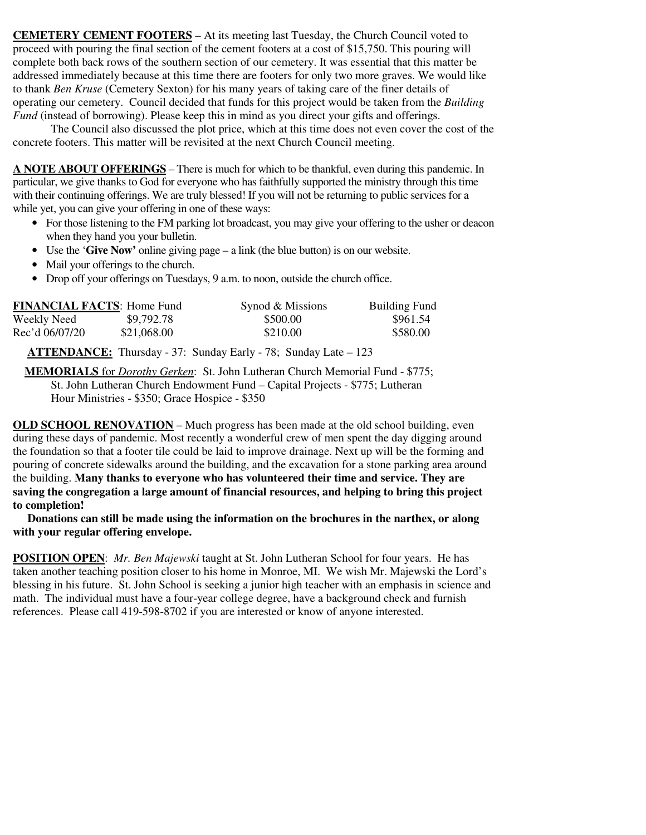**CEMETERY CEMENT FOOTERS** – At its meeting last Tuesday, the Church Council voted to proceed with pouring the final section of the cement footers at a cost of \$15,750. This pouring will complete both back rows of the southern section of our cemetery. It was essential that this matter be addressed immediately because at this time there are footers for only two more graves. We would like to thank *Ben Kruse* (Cemetery Sexton) for his many years of taking care of the finer details of operating our cemetery. Council decided that funds for this project would be taken from the *Building Fund* (instead of borrowing). Please keep this in mind as you direct your gifts and offerings.

 The Council also discussed the plot price, which at this time does not even cover the cost of the concrete footers. This matter will be revisited at the next Church Council meeting.

**A NOTE ABOUT OFFERINGS** – There is much for which to be thankful, even during this pandemic. In particular, we give thanks to God for everyone who has faithfully supported the ministry through this time with their continuing offerings. We are truly blessed! If you will not be returning to public services for a while yet, you can give your offering in one of these ways:

- For those listening to the FM parking lot broadcast, you may give your offering to the usher or deacon when they hand you your bulletin.
- Use the '**Give Now'** online giving page a link (the blue button) is on our website.
- Mail your offerings to the church.
- Drop off your offerings on Tuesdays, 9 a.m. to noon, outside the church office.

| <b>FINANCIAL FACTS: Home Fund</b> |             | Synod & Missions | <b>Building Fund</b> |
|-----------------------------------|-------------|------------------|----------------------|
| Weekly Need                       | \$9,792.78  | \$500.00         | \$961.54             |
| Rec'd 06/07/20                    | \$21,068.00 | \$210.00         | \$580.00             |

**ATTENDANCE:** Thursday - 37: Sunday Early - 78; Sunday Late – 123

 **MEMORIALS** for *Dorothy Gerken*: St. John Lutheran Church Memorial Fund - \$775; St. John Lutheran Church Endowment Fund – Capital Projects - \$775; Lutheran Hour Ministries - \$350; Grace Hospice - \$350

**OLD SCHOOL RENOVATION – Much progress has been made at the old school building, even** during these days of pandemic. Most recently a wonderful crew of men spent the day digging around the foundation so that a footer tile could be laid to improve drainage. Next up will be the forming and pouring of concrete sidewalks around the building, and the excavation for a stone parking area around the building. **Many thanks to everyone who has volunteered their time and service. They are saving the congregation a large amount of financial resources, and helping to bring this project to completion!** 

 **Donations can still be made using the information on the brochures in the narthex, or along with your regular offering envelope.** 

**POSITION OPEN**: *Mr. Ben Majewski* taught at St. John Lutheran School for four years. He has taken another teaching position closer to his home in Monroe, MI. We wish Mr. Majewski the Lord's blessing in his future. St. John School is seeking a junior high teacher with an emphasis in science and math. The individual must have a four-year college degree, have a background check and furnish references. Please call 419-598-8702 if you are interested or know of anyone interested.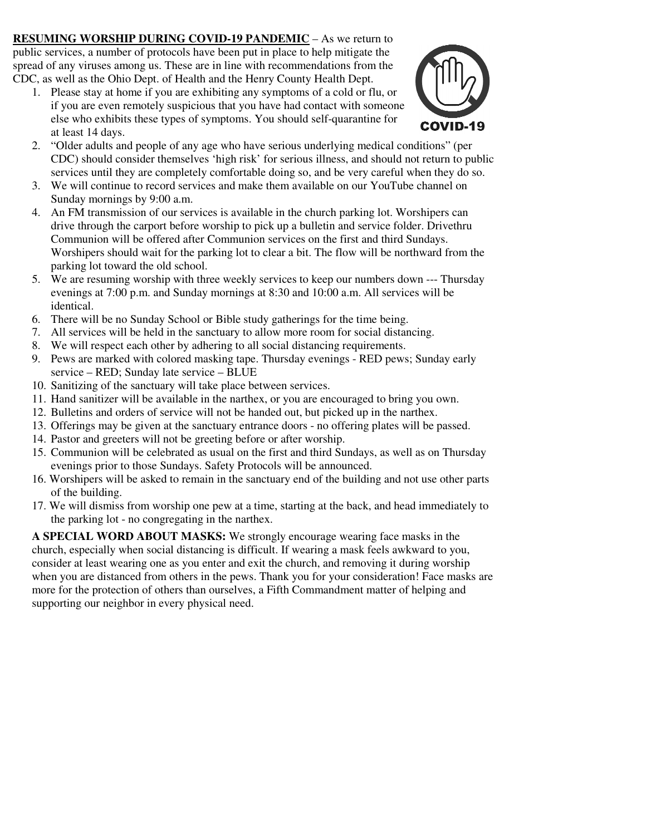**RESUMING WORSHIP DURING COVID-19 PANDEMIC** – As we return to public services, a number of protocols have been put in place to help mitigate the spread of any viruses among us. These are in line with recommendations from the CDC, as well as the Ohio Dept. of Health and the Henry County Health Dept.

1. Please stay at home if you are exhibiting any symptoms of a cold or flu, or if you are even remotely suspicious that you have had contact with someone else who exhibits these types of symptoms. You should self-quarantine for at least 14 days.



- 2. "Older adults and people of any age who have serious underlying medical conditions" (per CDC) should consider themselves 'high risk' for serious illness, and should not return to public services until they are completely comfortable doing so, and be very careful when they do so.
- 3. We will continue to record services and make them available on our YouTube channel on Sunday mornings by 9:00 a.m.
- 4. An FM transmission of our services is available in the church parking lot. Worshipers can drive through the carport before worship to pick up a bulletin and service folder. Drivethru Communion will be offered after Communion services on the first and third Sundays. Worshipers should wait for the parking lot to clear a bit. The flow will be northward from the parking lot toward the old school.
- 5. We are resuming worship with three weekly services to keep our numbers down --- Thursday evenings at 7:00 p.m. and Sunday mornings at 8:30 and 10:00 a.m. All services will be identical.
- 6. There will be no Sunday School or Bible study gatherings for the time being.
- 7. All services will be held in the sanctuary to allow more room for social distancing.
- 8. We will respect each other by adhering to all social distancing requirements.
- 9. Pews are marked with colored masking tape. Thursday evenings RED pews; Sunday early service – RED; Sunday late service – BLUE
- 10. Sanitizing of the sanctuary will take place between services.
- 11. Hand sanitizer will be available in the narthex, or you are encouraged to bring you own.
- 12. Bulletins and orders of service will not be handed out, but picked up in the narthex.
- 13. Offerings may be given at the sanctuary entrance doors no offering plates will be passed.
- 14. Pastor and greeters will not be greeting before or after worship.
- 15. Communion will be celebrated as usual on the first and third Sundays, as well as on Thursday evenings prior to those Sundays. Safety Protocols will be announced.
- 16. Worshipers will be asked to remain in the sanctuary end of the building and not use other parts of the building.
- 17. We will dismiss from worship one pew at a time, starting at the back, and head immediately to the parking lot - no congregating in the narthex.

**A SPECIAL WORD ABOUT MASKS:** We strongly encourage wearing face masks in the church, especially when social distancing is difficult. If wearing a mask feels awkward to you, consider at least wearing one as you enter and exit the church, and removing it during worship when you are distanced from others in the pews. Thank you for your consideration! Face masks are more for the protection of others than ourselves, a Fifth Commandment matter of helping and supporting our neighbor in every physical need.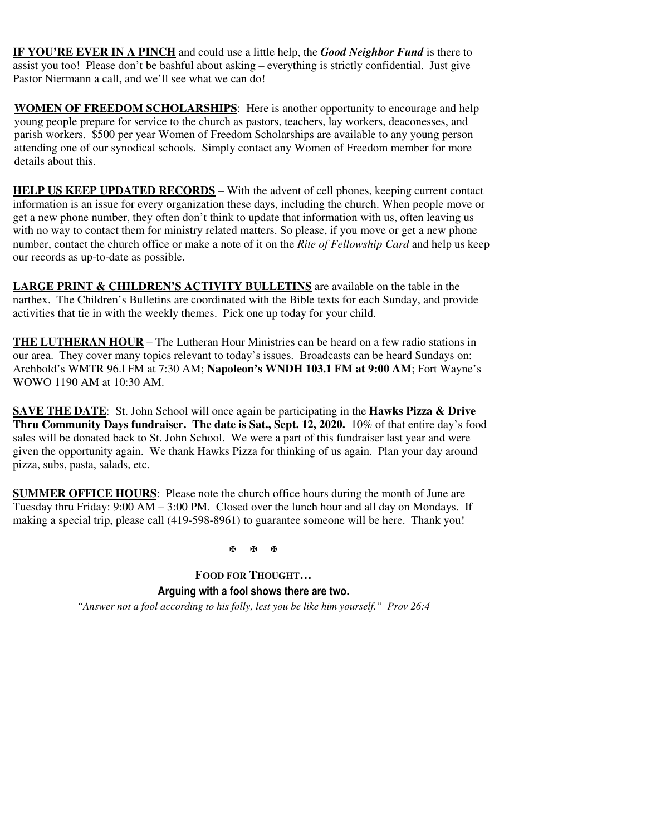**IF YOU'RE EVER IN A PINCH** and could use a little help, the *Good Neighbor Fund* is there to assist you too! Please don't be bashful about asking – everything is strictly confidential. Just give Pastor Niermann a call, and we'll see what we can do!

**WOMEN OF FREEDOM SCHOLARSHIPS**: Here is another opportunity to encourage and help young people prepare for service to the church as pastors, teachers, lay workers, deaconesses, and parish workers. \$500 per year Women of Freedom Scholarships are available to any young person attending one of our synodical schools. Simply contact any Women of Freedom member for more details about this.

**HELP US KEEP UPDATED RECORDS** – With the advent of cell phones, keeping current contact information is an issue for every organization these days, including the church. When people move or get a new phone number, they often don't think to update that information with us, often leaving us with no way to contact them for ministry related matters. So please, if you move or get a new phone number, contact the church office or make a note of it on the *Rite of Fellowship Card* and help us keep our records as up-to-date as possible.

**LARGE PRINT & CHILDREN'S ACTIVITY BULLETINS** are available on the table in the narthex. The Children's Bulletins are coordinated with the Bible texts for each Sunday, and provide activities that tie in with the weekly themes. Pick one up today for your child.

**THE LUTHERAN HOUR** – The Lutheran Hour Ministries can be heard on a few radio stations in our area. They cover many topics relevant to today's issues. Broadcasts can be heard Sundays on: Archbold's WMTR 96.l FM at 7:30 AM; **Napoleon's WNDH 103.1 FM at 9:00 AM**; Fort Wayne's WOWO 1190 AM at 10:30 AM.

**SAVE THE DATE**: St. John School will once again be participating in the **Hawks Pizza & Drive Thru Community Days fundraiser. The date is Sat., Sept. 12, 2020.** 10% of that entire day's food sales will be donated back to St. John School. We were a part of this fundraiser last year and were given the opportunity again. We thank Hawks Pizza for thinking of us again. Plan your day around pizza, subs, pasta, salads, etc.

**SUMMER OFFICE HOURS**: Please note the church office hours during the month of June are Tuesday thru Friday:  $9:00 \text{ AM} - 3:00 \text{ PM}$ . Closed over the lunch hour and all day on Mondays. If making a special trip, please call (419-598-8961) to guarantee someone will be here. Thank you!

医面面

**FOOD FOR THOUGHT… Arguing with a fool shows there are two.** 

*"Answer not a fool according to his folly, lest you be like him yourself." Prov 26:4*